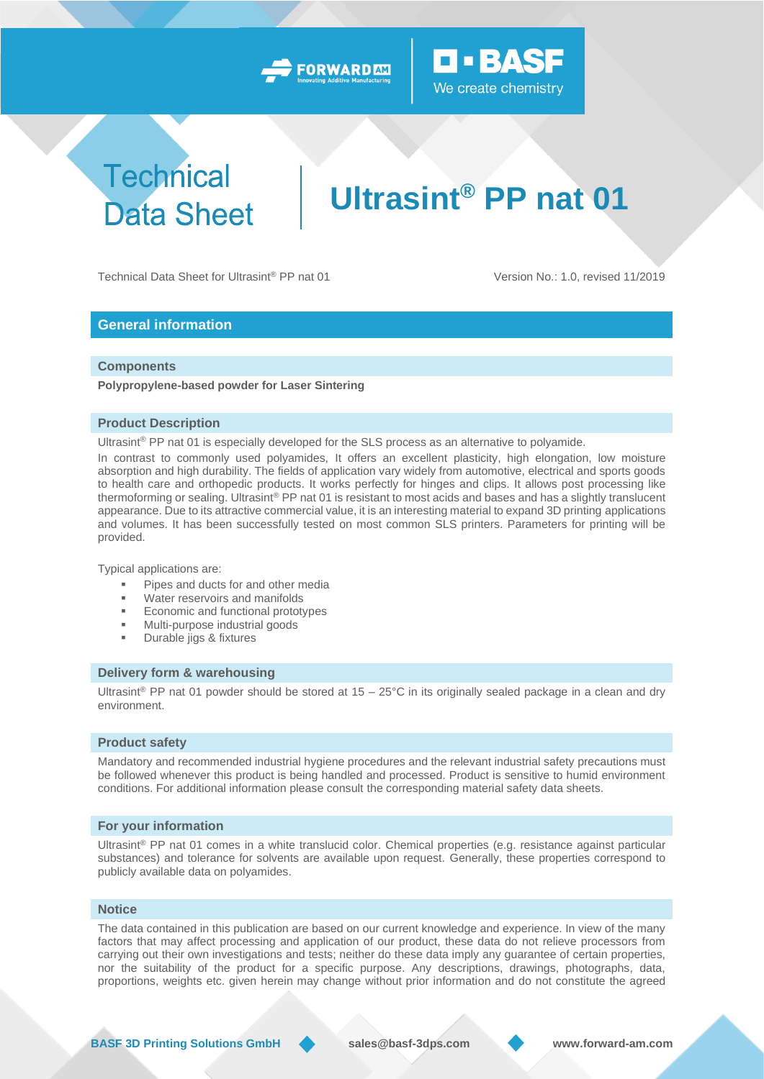



## **Technical Data Sheet**

# **Ultrasint® PP nat 01**

Technical Data Sheet for Ultrasint® PP nat 01 Version No.: 1.0, revised 11/2019

#### **General information**

#### **Components**

**Polypropylene-based powder for Laser Sintering**

#### **Product Description**

Ultrasint® PP nat 01 is especially developed for the SLS process as an alternative to polyamide.

In contrast to commonly used polyamides, It offers an excellent plasticity, high elongation, low moisture absorption and high durability. The fields of application vary widely from automotive, electrical and sports goods to health care and orthopedic products. It works perfectly for hinges and clips. It allows post processing like thermoforming or sealing. Ultrasint® PP nat 01 is resistant to most acids and bases and has a slightly translucent appearance. Due to its attractive commercial value, it is an interesting material to expand 3D printing applications and volumes. It has been successfully tested on most common SLS printers. Parameters for printing will be provided.

Typical applications are:

- Pipes and ducts for and other media
- Water reservoirs and manifolds
- Economic and functional prototypes
- Multi-purpose industrial goods
- Durable jigs & fixtures

#### **Delivery form & warehousing**

Ultrasint<sup>®</sup> PP nat 01 powder should be stored at 15 – 25°C in its originally sealed package in a clean and dry environment.

#### **Product safety**

Mandatory and recommended industrial hygiene procedures and the relevant industrial safety precautions must be followed whenever this product is being handled and processed. Product is sensitive to humid environment conditions. For additional information please consult the corresponding material safety data sheets.

#### **For your information**

Ultrasint® PP nat 01 comes in a white translucid color. Chemical properties (e.g. resistance against particular substances) and tolerance for solvents are available upon request. Generally, these properties correspond to publicly available data on polyamides.

#### **Notice**

The data contained in this publication are based on our current knowledge and experience. In view of the many factors that may affect processing and application of our product, these data do not relieve processors from carrying out their own investigations and tests; neither do these data imply any guarantee of certain properties, nor the suitability of the product for a specific purpose. Any descriptions, drawings, photographs, data, proportions, weights etc. given herein may change without prior information and do not constitute the agreed

**BASF 3D Printing Solutions GmbH sales@basf-3dps.com www.forward-am.com**